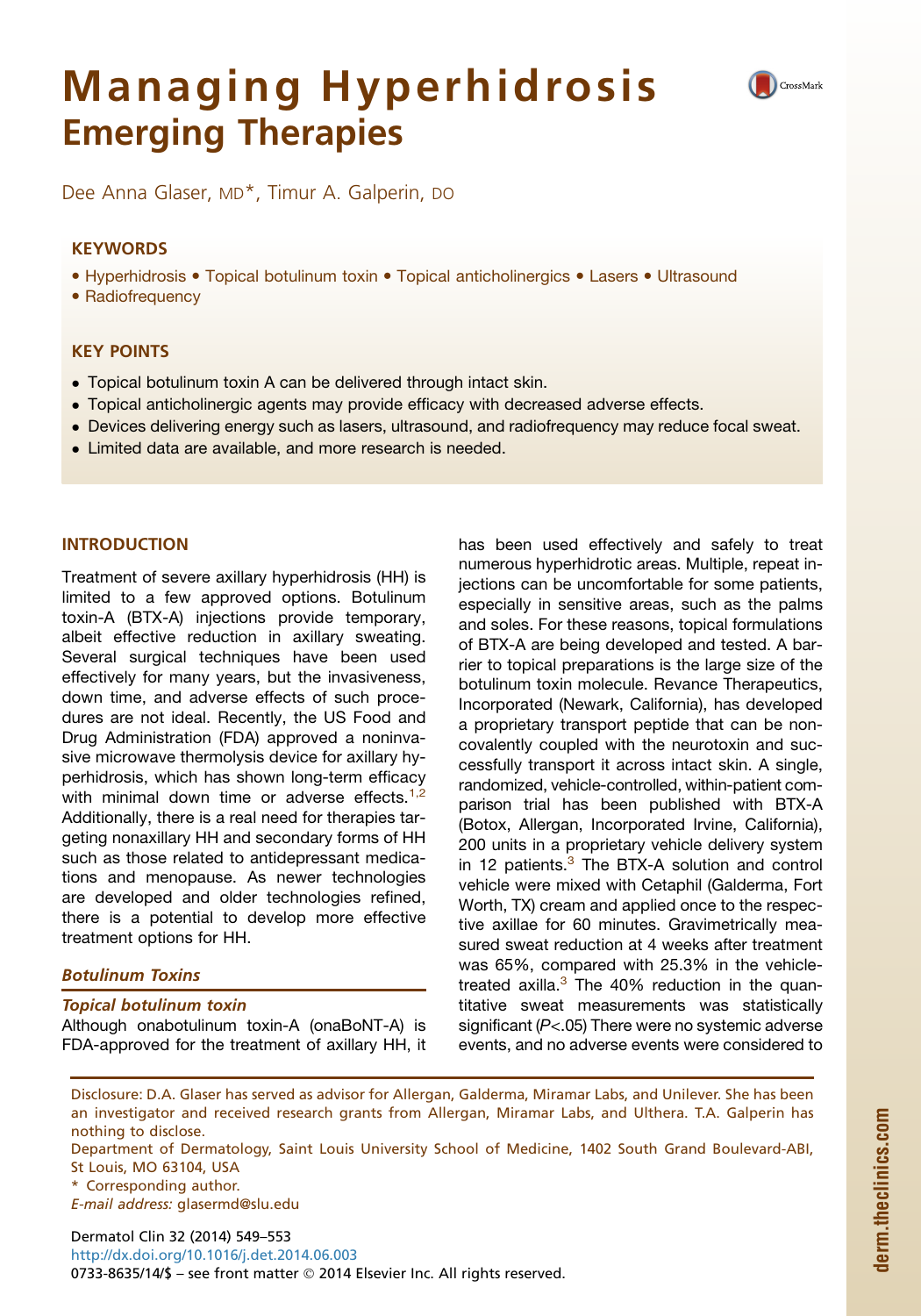# Managing Hyperhidrosis Emerging Therapies



Dee Anna Glaser, MD\*, Timur A. Galperin, DO

# **KEYWORDS**

• Hyperhidrosis • Topical botulinum toxin • Topical anticholinergics • Lasers • Ultrasound

• Radiofrequency

# KEY POINTS

- Topical botulinum toxin A can be delivered through intact skin.
- Topical anticholinergic agents may provide efficacy with decreased adverse effects.
- Devices delivering energy such as lasers, ultrasound, and radiofrequency may reduce focal sweat.
- Limited data are available, and more research is needed.

## INTRODUCTION

Treatment of severe axillary hyperhidrosis (HH) is limited to a few approved options. Botulinum toxin-A (BTX-A) injections provide temporary, albeit effective reduction in axillary sweating. Several surgical techniques have been used effectively for many years, but the invasiveness, down time, and adverse effects of such procedures are not ideal. Recently, the US Food and Drug Administration (FDA) approved a noninvasive microwave thermolysis device for axillary hyperhidrosis, which has shown long-term efficacy with minimal down time or adverse effects. $1,2$ Additionally, there is a real need for therapies targeting nonaxillary HH and secondary forms of HH such as those related to antidepressant medications and menopause. As newer technologies are developed and older technologies refined, there is a potential to develop more effective treatment options for HH.

# Botulinum Toxins

#### Topical botulinum toxin

Although onabotulinum toxin-A (onaBoNT-A) is FDA-approved for the treatment of axillary HH, it has been used effectively and safely to treat numerous hyperhidrotic areas. Multiple, repeat injections can be uncomfortable for some patients, especially in sensitive areas, such as the palms and soles. For these reasons, topical formulations of BTX-A are being developed and tested. A barrier to topical preparations is the large size of the botulinum toxin molecule. Revance Therapeutics, Incorporated (Newark, California), has developed a proprietary transport peptide that can be noncovalently coupled with the neurotoxin and successfully transport it across intact skin. A single, randomized, vehicle-controlled, within-patient comparison trial has been published with BTX-A (Botox, Allergan, Incorporated Irvine, California), 200 units in a proprietary vehicle delivery system in 12 patients. $3$  The BTX-A solution and control vehicle were mixed with Cetaphil (Galderma, Fort Worth, TX) cream and applied once to the respective axillae for 60 minutes. Gravimetrically measured sweat reduction at 4 weeks after treatment was 65%, compared with 25.3% in the vehicletreated axilla. $3$  The 40% reduction in the quantitative sweat measurements was statistically significant (*P*<.05) There were no systemic adverse events, and no adverse events were considered to

Disclosure: D.A. Glaser has served as advisor for Allergan, Galderma, Miramar Labs, and Unilever. She has been an investigator and received research grants from Allergan, Miramar Labs, and Ulthera. T.A. Galperin has nothing to disclose.

Department of Dermatology, Saint Louis University School of Medicine, 1402 South Grand Boulevard-ABI, St Louis, MO 63104, USA

E-mail address: [glasermd@slu.edu](mailto:glasermd@slu.edu)

Dermatol Clin 32 (2014) 549–553 <http://dx.doi.org/10.1016/j.det.2014.06.003> 0733-8635/14/\$ - see front matter © 2014 Elsevier Inc. All rights reserved.

<sup>\*</sup> Corresponding author.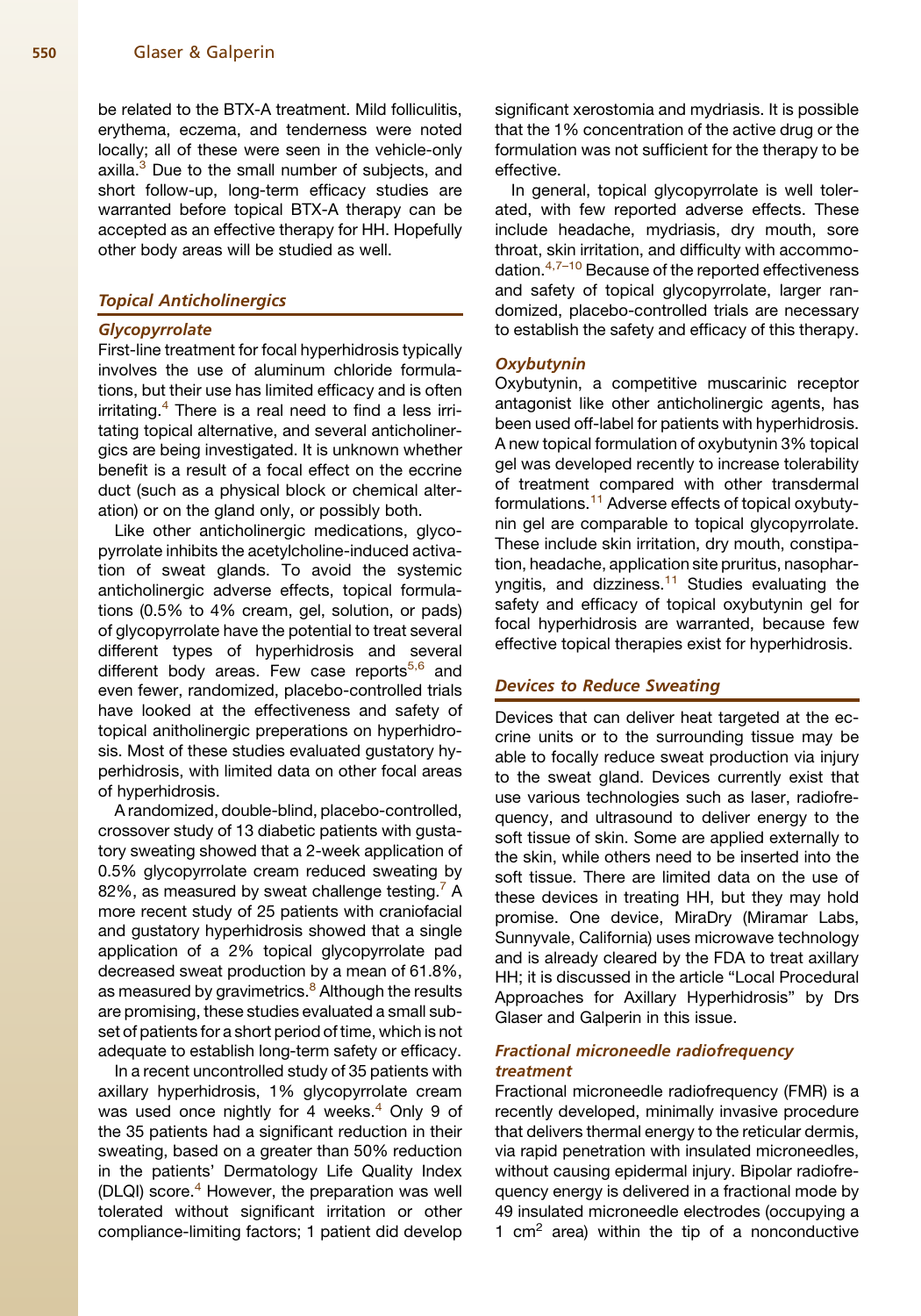be related to the BTX-A treatment. Mild folliculitis, erythema, eczema, and tenderness were noted locally; all of these were seen in the vehicle-only axilla.<sup>3</sup> Due to the small number of subjects, and short follow-up, long-term efficacy studies are warranted before topical BTX-A therapy can be accepted as an effective therapy for HH. Hopefully other body areas will be studied as well.

#### Topical Anticholinergics

#### **Glycopyrrolate**

First-line treatment for focal hyperhidrosis typically involves the use of aluminum chloride formulations, but their use has limited efficacy and is often irritating.<sup>[4](#page-3-0)</sup> There is a real need to find a less irritating topical alternative, and several anticholinergics are being investigated. It is unknown whether benefit is a result of a focal effect on the eccrine duct (such as a physical block or chemical alteration) or on the gland only, or possibly both.

Like other anticholinergic medications, glycopyrrolate inhibits the acetylcholine-induced activation of sweat glands. To avoid the systemic anticholinergic adverse effects, topical formulations (0.5% to 4% cream, gel, solution, or pads) of glycopyrrolate have the potential to treat several different types of hyperhidrosis and several different body areas. Few case reports<sup>[5,6](#page-3-0)</sup> and even fewer, randomized, placebo-controlled trials have looked at the effectiveness and safety of topical anitholinergic preperations on hyperhidrosis. Most of these studies evaluated gustatory hyperhidrosis, with limited data on other focal areas of hyperhidrosis.

A randomized, double-blind, placebo-controlled, crossover study of 13 diabetic patients with gustatory sweating showed that a 2-week application of 0.5% glycopyrrolate cream reduced sweating by 82%, as measured by sweat challenge testing. $<sup>7</sup>$  $<sup>7</sup>$  $<sup>7</sup>$  A</sup> more recent study of 25 patients with craniofacial and gustatory hyperhidrosis showed that a single application of a 2% topical glycopyrrolate pad decreased sweat production by a mean of 61.8%, as measured by gravimetrics.<sup>8</sup> Although the results are promising, these studies evaluated a small subset of patients for a short period of time, which is not adequate to establish long-term safety or efficacy.

In a recent uncontrolled study of 35 patients with axillary hyperhidrosis, 1% glycopyrrolate cream was used once nightly for 4 weeks. $4$  Only 9 of the 35 patients had a significant reduction in their sweating, based on a greater than 50% reduction in the patients' Dermatology Life Quality Index (DLQI) score.<sup>[4](#page-3-0)</sup> However, the preparation was well tolerated without significant irritation or other compliance-limiting factors; 1 patient did develop

significant xerostomia and mydriasis. It is possible that the 1% concentration of the active drug or the formulation was not sufficient for the therapy to be effective.

In general, topical glycopyrrolate is well tolerated, with few reported adverse effects. These include headache, mydriasis, dry mouth, sore throat, skin irritation, and difficulty with accommo-dation.<sup>[4,7–10](#page-3-0)</sup> Because of the reported effectiveness and safety of topical glycopyrrolate, larger randomized, placebo-controlled trials are necessary to establish the safety and efficacy of this therapy.

### **Oxybutynin**

Oxybutynin, a competitive muscarinic receptor antagonist like other anticholinergic agents, has been used off-label for patients with hyperhidrosis. A new topical formulation of oxybutynin 3% topical gel was developed recently to increase tolerability of treatment compared with other transdermal formulations.<sup>[11](#page-4-0)</sup> Adverse effects of topical oxybutynin gel are comparable to topical glycopyrrolate. These include skin irritation, dry mouth, constipation, headache, application site pruritus, nasophar-yngitis, and dizziness.<sup>[11](#page-4-0)</sup> Studies evaluating the safety and efficacy of topical oxybutynin gel for focal hyperhidrosis are warranted, because few effective topical therapies exist for hyperhidrosis.

# Devices to Reduce Sweating

Devices that can deliver heat targeted at the eccrine units or to the surrounding tissue may be able to focally reduce sweat production via injury to the sweat gland. Devices currently exist that use various technologies such as laser, radiofrequency, and ultrasound to deliver energy to the soft tissue of skin. Some are applied externally to the skin, while others need to be inserted into the soft tissue. There are limited data on the use of these devices in treating HH, but they may hold promise. One device, MiraDry (Miramar Labs, Sunnyvale, California) uses microwave technology and is already cleared by the FDA to treat axillary HH; it is discussed in the article "Local Procedural Approaches for Axillary Hyperhidrosis" by Drs Glaser and Galperin in this issue.

# Fractional microneedle radiofrequency treatment

Fractional microneedle radiofrequency (FMR) is a recently developed, minimally invasive procedure that delivers thermal energy to the reticular dermis, via rapid penetration with insulated microneedles, without causing epidermal injury. Bipolar radiofrequency energy is delivered in a fractional mode by 49 insulated microneedle electrodes (occupying a 1  $cm<sup>2</sup>$  area) within the tip of a nonconductive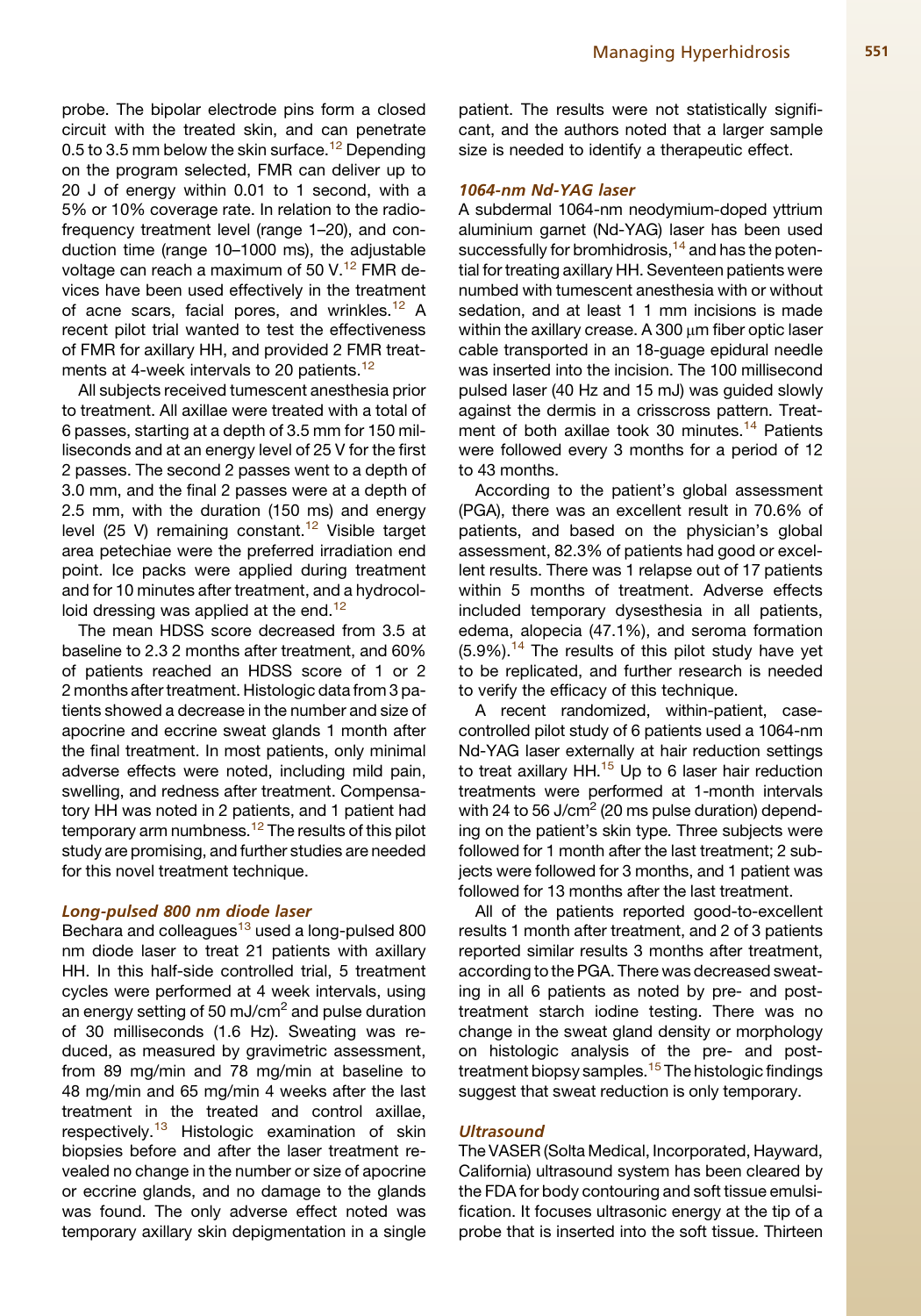probe. The bipolar electrode pins form a closed circuit with the treated skin, and can penetrate 0.5 to 3.5 mm below the skin surface.<sup>[12](#page-4-0)</sup> Depending on the program selected, FMR can deliver up to 20 J of energy within 0.01 to 1 second, with a 5% or 10% coverage rate. In relation to the radiofrequency treatment level (range 1–20), and conduction time (range 10–1000 ms), the adjustable voltage can reach a maximum of 50 V. $^{12}$  $^{12}$  $^{12}$  FMR devices have been used effectively in the treatment of acne scars, facial pores, and wrinkles.<sup>[12](#page-4-0)</sup> A recent pilot trial wanted to test the effectiveness of FMR for axillary HH, and provided 2 FMR treat-ments at 4-week intervals to 20 patients.<sup>[12](#page-4-0)</sup>

All subjects received tumescent anesthesia prior to treatment. All axillae were treated with a total of 6 passes, starting at a depth of 3.5 mm for 150 milliseconds and at an energy level of 25 V for the first 2 passes. The second 2 passes went to a depth of 3.0 mm, and the final 2 passes were at a depth of 2.5 mm, with the duration (150 ms) and energy level (25 V) remaining constant.<sup>12</sup> Visible target area petechiae were the preferred irradiation end point. Ice packs were applied during treatment and for 10 minutes after treatment, and a hydrocol-loid dressing was applied at the end.<sup>[12](#page-4-0)</sup>

The mean HDSS score decreased from 3.5 at baseline to 2.3 2 months after treatment, and 60% of patients reached an HDSS score of 1 or 2 2 months after treatment. Histologic data from 3 patients showed a decrease in the number and size of apocrine and eccrine sweat glands 1 month after the final treatment. In most patients, only minimal adverse effects were noted, including mild pain, swelling, and redness after treatment. Compensatory HH was noted in 2 patients, and 1 patient had temporary arm numbness.<sup>12</sup> The results of this pilot study are promising, and further studies are needed for this novel treatment technique.

#### Long-pulsed 800 nm diode laser

Bechara and colleagues<sup>[13](#page-4-0)</sup> used a long-pulsed 800 nm diode laser to treat 21 patients with axillary HH. In this half-side controlled trial, 5 treatment cycles were performed at 4 week intervals, using an energy setting of 50 mJ/cm<sup>2</sup> and pulse duration of 30 milliseconds (1.6 Hz). Sweating was reduced, as measured by gravimetric assessment, from 89 mg/min and 78 mg/min at baseline to 48 mg/min and 65 mg/min 4 weeks after the last treatment in the treated and control axillae, respectively.<sup>[13](#page-4-0)</sup> Histologic examination of skin biopsies before and after the laser treatment revealed no change in the number or size of apocrine or eccrine glands, and no damage to the glands was found. The only adverse effect noted was temporary axillary skin depigmentation in a single patient. The results were not statistically significant, and the authors noted that a larger sample size is needed to identify a therapeutic effect.

# 1064-nm Nd-YAG laser

A subdermal 1064-nm neodymium-doped yttrium aluminium garnet (Nd-YAG) laser has been used successfully for bromhidrosis,  $14$  and has the potential for treating axillary HH. Seventeen patients were numbed with tumescent anesthesia with or without sedation, and at least 1 1 mm incisions is made within the axillary crease. A 300  $\mu$ m fiber optic laser cable transported in an 18-guage epidural needle was inserted into the incision. The 100 millisecond pulsed laser (40 Hz and 15 mJ) was guided slowly against the dermis in a crisscross pattern. Treat-ment of both axillae took 30 minutes.<sup>[14](#page-4-0)</sup> Patients were followed every 3 months for a period of 12 to 43 months.

According to the patient's global assessment (PGA), there was an excellent result in 70.6% of patients, and based on the physician's global assessment, 82.3% of patients had good or excellent results. There was 1 relapse out of 17 patients within 5 months of treatment. Adverse effects included temporary dysesthesia in all patients, edema, alopecia (47.1%), and seroma formation  $(5.9\%)$ .<sup>[14](#page-4-0)</sup> The results of this pilot study have yet to be replicated, and further research is needed to verify the efficacy of this technique.

A recent randomized, within-patient, casecontrolled pilot study of 6 patients used a 1064-nm Nd-YAG laser externally at hair reduction settings to treat axillary HH. $15$  Up to 6 laser hair reduction treatments were performed at 1-month intervals with 24 to 56 J/cm<sup>2</sup> (20 ms pulse duration) depending on the patient's skin type. Three subjects were followed for 1 month after the last treatment; 2 subjects were followed for 3 months, and 1 patient was followed for 13 months after the last treatment.

All of the patients reported good-to-excellent results 1 month after treatment, and 2 of 3 patients reported similar results 3 months after treatment, according to the PGA. There was decreased sweating in all 6 patients as noted by pre- and posttreatment starch iodine testing. There was no change in the sweat gland density or morphology on histologic analysis of the pre- and post-treatment biopsy samples.<sup>[15](#page-4-0)</sup> The histologic findings suggest that sweat reduction is only temporary.

## **Ultrasound**

The VASER (Solta Medical, Incorporated, Hayward, California) ultrasound system has been cleared by the FDA for body contouring and soft tissue emulsification. It focuses ultrasonic energy at the tip of a probe that is inserted into the soft tissue. Thirteen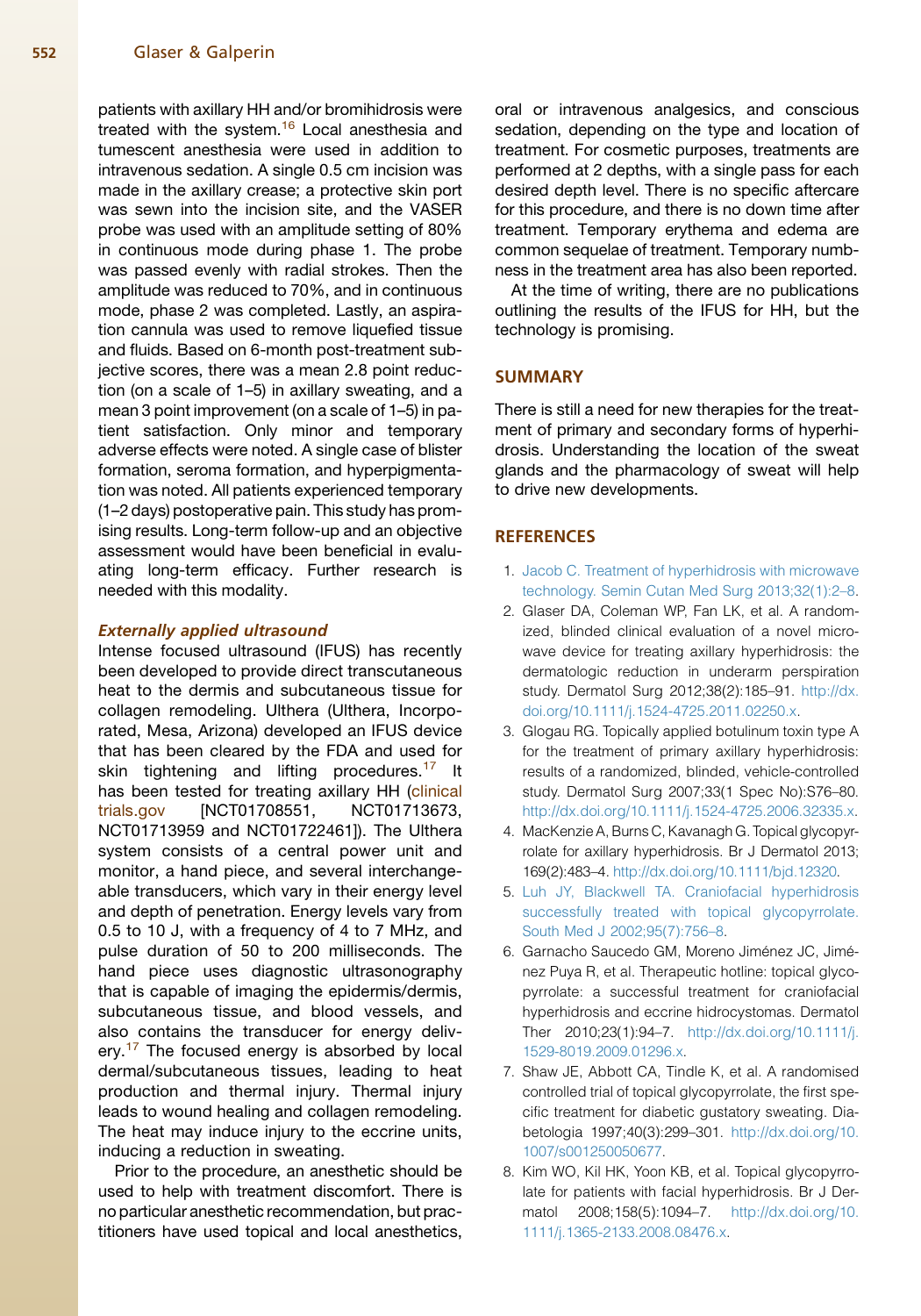#### <span id="page-3-0"></span>552 Glaser & Galperin

patients with axillary HH and/or bromihidrosis were treated with the system.<sup>16</sup> Local anesthesia and tumescent anesthesia were used in addition to intravenous sedation. A single 0.5 cm incision was made in the axillary crease; a protective skin port was sewn into the incision site, and the VASER probe was used with an amplitude setting of 80% in continuous mode during phase 1. The probe was passed evenly with radial strokes. Then the amplitude was reduced to 70%, and in continuous mode, phase 2 was completed. Lastly, an aspiration cannula was used to remove liquefied tissue and fluids. Based on 6-month post-treatment subjective scores, there was a mean 2.8 point reduction (on a scale of 1–5) in axillary sweating, and a mean 3 point improvement (on a scale of 1–5) in patient satisfaction. Only minor and temporary adverse effects were noted. A single case of blister formation, seroma formation, and hyperpigmentation was noted. All patients experienced temporary (1–2 days) postoperative pain. This study has promising results. Long-term follow-up and an objective assessment would have been beneficial in evaluating long-term efficacy. Further research is needed with this modality.

#### Externally applied ultrasound

Intense focused ultrasound (IFUS) has recently been developed to provide direct transcutaneous heat to the dermis and subcutaneous tissue for collagen remodeling. Ulthera (Ulthera, Incorporated, Mesa, Arizona) developed an IFUS device that has been cleared by the FDA and used for skin tightening and lifting procedures.<sup>[17](#page-4-0)</sup> It has been tested for treating axillary HH [\(clinical](http://clinicaltrials.gov) [trials.gov](http://clinicaltrials.gov) [NCT01708551, NCT01713673, NCT01713959 and NCT01722461]). The Ulthera system consists of a central power unit and monitor, a hand piece, and several interchangeable transducers, which vary in their energy level and depth of penetration. Energy levels vary from 0.5 to 10 J, with a frequency of 4 to 7 MHz, and pulse duration of 50 to 200 milliseconds. The hand piece uses diagnostic ultrasonography that is capable of imaging the epidermis/dermis, subcutaneous tissue, and blood vessels, and also contains the transducer for energy deliv-ery.<sup>[17](#page-4-0)</sup> The focused energy is absorbed by local dermal/subcutaneous tissues, leading to heat production and thermal injury. Thermal injury leads to wound healing and collagen remodeling. The heat may induce injury to the eccrine units, inducing a reduction in sweating.

Prior to the procedure, an anesthetic should be used to help with treatment discomfort. There is no particular anesthetic recommendation, but practitioners have used topical and local anesthetics,

oral or intravenous analgesics, and conscious sedation, depending on the type and location of treatment. For cosmetic purposes, treatments are performed at 2 depths, with a single pass for each desired depth level. There is no specific aftercare for this procedure, and there is no down time after treatment. Temporary erythema and edema are common sequelae of treatment. Temporary numbness in the treatment area has also been reported.

At the time of writing, there are no publications outlining the results of the IFUS for HH, but the technology is promising.

# **SUMMARY**

There is still a need for new therapies for the treatment of primary and secondary forms of hyperhidrosis. Understanding the location of the sweat glands and the pharmacology of sweat will help to drive new developments.

## **REFERENCES**

- 1. [Jacob C. Treatment of hyperhidrosis with microwave](http://refhub.elsevier.com/S0733-8635(14)00070-9/sref1) [technology. Semin Cutan Med Surg 2013;32\(1\):2–8.](http://refhub.elsevier.com/S0733-8635(14)00070-9/sref1)
- 2. Glaser DA, Coleman WP, Fan LK, et al. A randomized, blinded clinical evaluation of a novel microwave device for treating axillary hyperhidrosis: the dermatologic reduction in underarm perspiration study. Dermatol Surg 2012;38(2):185–91. [http://dx.](http://dx.doi.org/10.1111/j.1524-4725.2011.02250.x) [doi.org/10.1111/j.1524-4725.2011.02250.x.](http://dx.doi.org/10.1111/j.1524-4725.2011.02250.x)
- 3. Glogau RG. Topically applied botulinum toxin type A for the treatment of primary axillary hyperhidrosis: results of a randomized, blinded, vehicle-controlled study. Dermatol Surg 2007;33(1 Spec No):S76–80. <http://dx.doi.org/10.1111/j.1524-4725.2006.32335.x>.
- 4. MacKenzie A, Burns C, Kavanagh G. Topical glycopyrrolate for axillary hyperhidrosis. Br J Dermatol 2013; 169(2):483–4. [http://dx.doi.org/10.1111/bjd.12320.](http://dx.doi.org/10.1111/bjd.12320)
- 5. [Luh JY, Blackwell TA. Craniofacial hyperhidrosis](http://refhub.elsevier.com/S0733-8635(14)00070-9/sref5) [successfully treated with topical glycopyrrolate.](http://refhub.elsevier.com/S0733-8635(14)00070-9/sref5) [South Med J 2002;95\(7\):756–8.](http://refhub.elsevier.com/S0733-8635(14)00070-9/sref5)
- 6. Garnacho Saucedo GM, Moreno Jiménez JC, Jiménez Puya R, et al. Therapeutic hotline: topical glycopyrrolate: a successful treatment for craniofacial hyperhidrosis and eccrine hidrocystomas. Dermatol Ther 2010;23(1):94–7. [http://dx.doi.org/10.1111/j.](http://dx.doi.org/10.1111/j.1529-8019.2009.01296.x) [1529-8019.2009.01296.x.](http://dx.doi.org/10.1111/j.1529-8019.2009.01296.x)
- 7. Shaw JE, Abbott CA, Tindle K, et al. A randomised controlled trial of topical glycopyrrolate, the first specific treatment for diabetic gustatory sweating. Diabetologia 1997;40(3):299–301. [http://dx.doi.org/10.](http://dx.doi.org/10.1007/s001250050677) [1007/s001250050677](http://dx.doi.org/10.1007/s001250050677).
- 8. Kim WO, Kil HK, Yoon KB, et al. Topical glycopyrrolate for patients with facial hyperhidrosis. Br J Dermatol 2008;158(5):1094–7. [http://dx.doi.org/10.](http://dx.doi.org/10.1111/j.1365-2133.2008.08476.x) [1111/j.1365-2133.2008.08476.x.](http://dx.doi.org/10.1111/j.1365-2133.2008.08476.x)